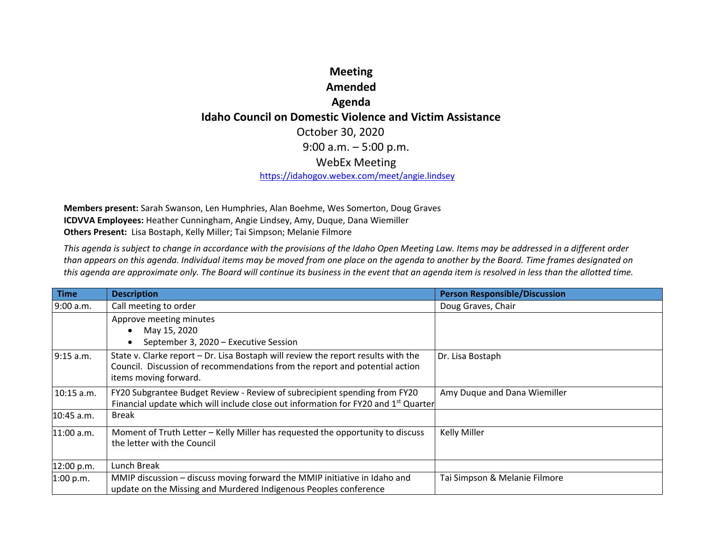## **Meeting AmendedAgenda Idaho Council on Domestic Violence and Victim Assistance** October 30, 2020 9:00 a.m. – 5:00 p.m. WebEx Meeting https://idahogov.webex.com/meet/angie.lindsey

**Members present:** Sarah Swanson, Len Humphries, Alan Boehme, Wes Somerton, Doug Graves **ICDVVA Employees:** Heather Cunningham, Angie Lindsey, Amy, Duque, Dana Wiemiller **Others Present:** Lisa Bostaph, Kelly Miller; Tai Simpson; Melanie Filmore

This agenda is subject to change in accordance with the provisions of the Idaho Open Meeting Law. Items may be addressed in a different order than appears on this agenda. Individual items may be moved from one place on the agenda to another by the Board. Time frames designated on this agenda are approximate only. The Board will continue its business in the event that an agenda item is resolved in less than the allotted time.

| <b>Time</b>  | <b>Description</b>                                                                                                                                                                        | <b>Person Responsible/Discussion</b> |
|--------------|-------------------------------------------------------------------------------------------------------------------------------------------------------------------------------------------|--------------------------------------|
| 9:00 a.m.    | Call meeting to order                                                                                                                                                                     | Doug Graves, Chair                   |
|              | Approve meeting minutes                                                                                                                                                                   |                                      |
|              | May 15, 2020                                                                                                                                                                              |                                      |
|              | September 3, 2020 - Executive Session                                                                                                                                                     |                                      |
| 9:15 a.m.    | State v. Clarke report - Dr. Lisa Bostaph will review the report results with the<br>Council. Discussion of recommendations from the report and potential action<br>items moving forward. | Dr. Lisa Bostaph                     |
| 10:15 a.m.   | FY20 Subgrantee Budget Review - Review of subrecipient spending from FY20<br>Financial update which will include close out information for FY20 and 1 <sup>st</sup> Quarter               | Amy Duque and Dana Wiemiller         |
| $10:45$ a.m. | <b>Break</b>                                                                                                                                                                              |                                      |
| $11:00$ a.m. | Moment of Truth Letter - Kelly Miller has requested the opportunity to discuss<br>the letter with the Council                                                                             | Kelly Miller                         |
| 12:00 p.m.   | Lunch Break                                                                                                                                                                               |                                      |
| 1:00 p.m.    | MMIP discussion - discuss moving forward the MMIP initiative in Idaho and                                                                                                                 | Tai Simpson & Melanie Filmore        |
|              | update on the Missing and Murdered Indigenous Peoples conference                                                                                                                          |                                      |